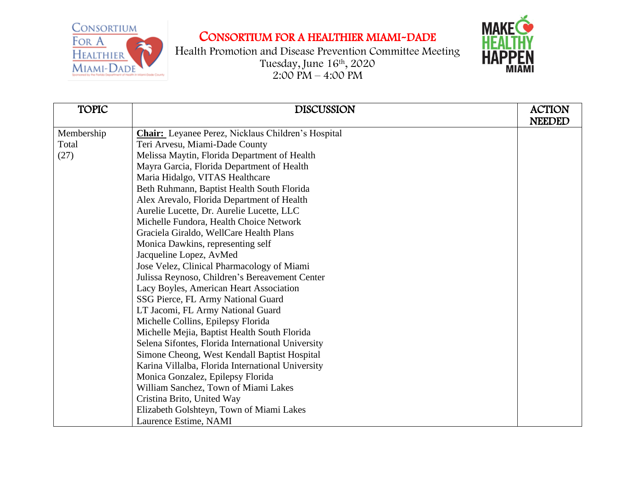CONSORTIUM FOR A HEALTHIER

MIAMI-DADE

## CONSORTIUM FOR A HEALTHIER MIAMI-DADE



Health Promotion and Disease Prevention Committee Meeting Tuesday, June 16th , 2020  $2:00 \text{ PM} - 4:00 \text{ PM}$ 

| <b>TOPIC</b> | <b>DISCUSSION</b>                                         | <b>ACTION</b> |
|--------------|-----------------------------------------------------------|---------------|
|              |                                                           | <b>NEEDED</b> |
| Membership   | <b>Chair:</b> Leyanee Perez, Nicklaus Children's Hospital |               |
| Total        | Teri Arvesu, Miami-Dade County                            |               |
| (27)         | Melissa Maytin, Florida Department of Health              |               |
|              | Mayra Garcia, Florida Department of Health                |               |
|              | Maria Hidalgo, VITAS Healthcare                           |               |
|              | Beth Ruhmann, Baptist Health South Florida                |               |
|              | Alex Arevalo, Florida Department of Health                |               |
|              | Aurelie Lucette, Dr. Aurelie Lucette, LLC                 |               |
|              | Michelle Fundora, Health Choice Network                   |               |
|              | Graciela Giraldo, WellCare Health Plans                   |               |
|              | Monica Dawkins, representing self                         |               |
|              | Jacqueline Lopez, AvMed                                   |               |
|              | Jose Velez, Clinical Pharmacology of Miami                |               |
|              | Julissa Reynoso, Children's Bereavement Center            |               |
|              | Lacy Boyles, American Heart Association                   |               |
|              | SSG Pierce, FL Army National Guard                        |               |
|              | LT Jacomi, FL Army National Guard                         |               |
|              | Michelle Collins, Epilepsy Florida                        |               |
|              | Michelle Mejia, Baptist Health South Florida              |               |
|              | Selena Sifontes, Florida International University         |               |
|              | Simone Cheong, West Kendall Baptist Hospital              |               |
|              | Karina Villalba, Florida International University         |               |
|              | Monica Gonzalez, Epilepsy Florida                         |               |
|              | William Sanchez, Town of Miami Lakes                      |               |
|              | Cristina Brito, United Way                                |               |
|              | Elizabeth Golshteyn, Town of Miami Lakes                  |               |
|              | Laurence Estime, NAMI                                     |               |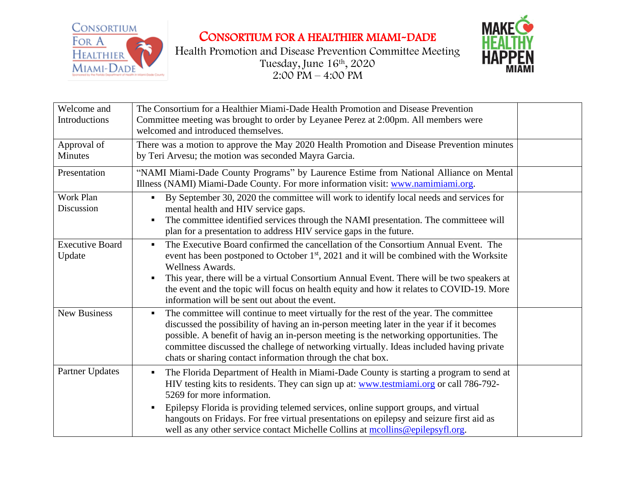

CONSORTIUM FOR A HEALTHIER MIAMI-DADE





| Welcome and<br>Introductions     | The Consortium for a Healthier Miami-Dade Health Promotion and Disease Prevention<br>Committee meeting was brought to order by Leyanee Perez at 2:00pm. All members were<br>welcomed and introduced themselves.                                                                                                                                                                                                                                                                         |  |
|----------------------------------|-----------------------------------------------------------------------------------------------------------------------------------------------------------------------------------------------------------------------------------------------------------------------------------------------------------------------------------------------------------------------------------------------------------------------------------------------------------------------------------------|--|
| Approval of<br>Minutes           | There was a motion to approve the May 2020 Health Promotion and Disease Prevention minutes<br>by Teri Arvesu; the motion was seconded Mayra Garcia.                                                                                                                                                                                                                                                                                                                                     |  |
| Presentation                     | "NAMI Miami-Dade County Programs" by Laurence Estime from National Alliance on Mental<br>Illness (NAMI) Miami-Dade County. For more information visit: www.namimiami.org.                                                                                                                                                                                                                                                                                                               |  |
| Work Plan<br>Discussion          | By September 30, 2020 the committee will work to identify local needs and services for<br>$\blacksquare$<br>mental health and HIV service gaps.<br>The committee identified services through the NAMI presentation. The committeee will<br>plan for a presentation to address HIV service gaps in the future.                                                                                                                                                                           |  |
| <b>Executive Board</b><br>Update | The Executive Board confirmed the cancellation of the Consortium Annual Event. The<br>$\blacksquare$<br>event has been postponed to October 1 <sup>st</sup> , 2021 and it will be combined with the Worksite<br>Wellness Awards.<br>This year, there will be a virtual Consortium Annual Event. There will be two speakers at<br>the event and the topic will focus on health equity and how it relates to COVID-19. More<br>information will be sent out about the event.              |  |
| <b>New Business</b>              | The committee will continue to meet virtually for the rest of the year. The committee<br>$\blacksquare$<br>discussed the possibility of having an in-person meeting later in the year if it becomes<br>possible. A benefit of havig an in-person meeting is the networking opportunities. The<br>committee discussed the challege of networking virtually. Ideas included having private<br>chats or sharing contact information through the chat box.                                  |  |
| <b>Partner Updates</b>           | The Florida Department of Health in Miami-Dade County is starting a program to send at<br>HIV testing kits to residents. They can sign up at: www.testmiami.org or call 786-792-<br>5269 for more information.<br>Epilepsy Florida is providing telemed services, online support groups, and virtual<br>٠<br>hangouts on Fridays. For free virtual presentations on epilepsy and seizure first aid as<br>well as any other service contact Michelle Collins at mcollins@epilepsyfl.org. |  |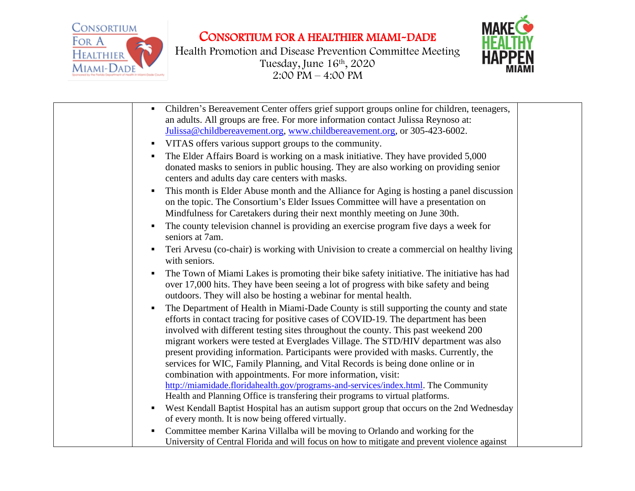CONSORTIUM FOR A HEALTHIER MIAMI-DADE



Health Promotion and Disease Prevention Committee Meeting Tuesday, June 16th , 2020  $2:00$  PM – 4:00 PM



| Children's Bereavement Center offers grief support groups online for children, teenagers,<br>п<br>an adults. All groups are free. For more information contact Julissa Reynoso at:<br>Julissa@childbereavement.org, www.childbereavement.org, or 305-423-6002.          |
|-------------------------------------------------------------------------------------------------------------------------------------------------------------------------------------------------------------------------------------------------------------------------|
| VITAS offers various support groups to the community.<br>٠                                                                                                                                                                                                              |
| The Elder Affairs Board is working on a mask initiative. They have provided 5,000<br>٠<br>donated masks to seniors in public housing. They are also working on providing senior<br>centers and adults day care centers with masks.                                      |
| This month is Elder Abuse month and the Alliance for Aging is hosting a panel discussion<br>п<br>on the topic. The Consortium's Elder Issues Committee will have a presentation on<br>Mindfulness for Caretakers during their next monthly meeting on June 30th.        |
| The county television channel is providing an exercise program five days a week for<br>п<br>seniors at 7am.                                                                                                                                                             |
| Teri Arvesu (co-chair) is working with Univision to create a commercial on healthy living<br>п<br>with seniors.                                                                                                                                                         |
| The Town of Miami Lakes is promoting their bike safety initiative. The initiative has had<br>п<br>over 17,000 hits. They have been seeing a lot of progress with bike safety and being<br>outdoors. They will also be hosting a webinar for mental health.              |
| The Department of Health in Miami-Dade County is still supporting the county and state<br>Е<br>efforts in contact tracing for positive cases of COVID-19. The department has been<br>involved with different testing sites throughout the county. This past weekend 200 |
| migrant workers were tested at Everglades Village. The STD/HIV department was also<br>present providing information. Participants were provided with masks. Currently, the                                                                                              |
| services for WIC, Family Planning, and Vital Records is being done online or in<br>combination with appointments. For more information, visit:                                                                                                                          |
| http://miamidade.floridahealth.gov/programs-and-services/index.html. The Community<br>Health and Planning Office is transfering their programs to virtual platforms.                                                                                                    |
| West Kendall Baptist Hospital has an autism support group that occurs on the 2nd Wednesday                                                                                                                                                                              |
| of every month. It is now being offered virtually.                                                                                                                                                                                                                      |
| Committee member Karina Villalba will be moving to Orlando and working for the<br>п<br>University of Central Florida and will focus on how to mitigate and prevent violence against                                                                                     |
|                                                                                                                                                                                                                                                                         |